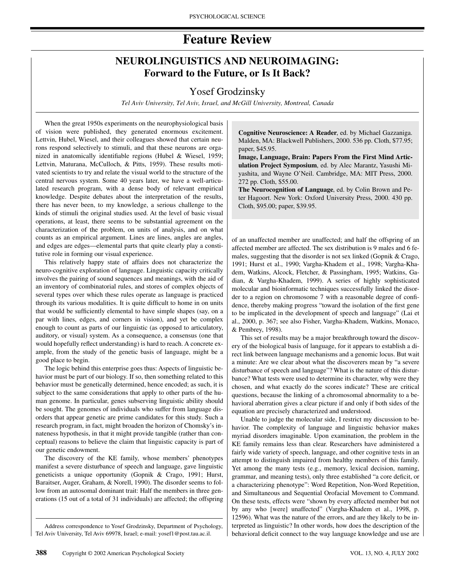# **Feature Review**

# **NEUROLINGUISTICS AND NEUROIMAGING: Forward to the Future, or Is It Back?**

## Yosef Grodzinsky

*Tel Aviv University, Tel Aviv, Israel, and McGill University, Montreal, Canada*

When the great 1950s experiments on the neurophysiological basis of vision were published, they generated enormous excitement. Lettvin, Hubel, Wiesel, and their colleagues showed that certain neurons respond selectively to stimuli, and that these neurons are organized in anatomically identifiable regions (Hubel & Wiesel, 1959; Lettvin, Maturana, McCulloch, & Pitts, 1959). These results motivated scientists to try and relate the visual world to the structure of the central nervous system. Some 40 years later, we have a well-articulated research program, with a dense body of relevant empirical knowledge. Despite debates about the interpretation of the results, there has never been, to my knowledge, a serious challenge to the kinds of stimuli the original studies used. At the level of basic visual operations, at least, there seems to be substantial agreement on the characterization of the problem, on units of analysis, and on what counts as an empirical argument. Lines are lines, angles are angles, and edges are edges—elemental parts that quite clearly play a constitutive role in forming our visual experience.

This relatively happy state of affairs does not characterize the neuro-cognitive exploration of language. Linguistic capacity critically involves the pairing of sound sequences and meanings, with the aid of an inventory of combinatorial rules, and stores of complex objects of several types over which these rules operate as language is practiced through its various modalities. It is quite difficult to home in on units that would be sufficiently elemental to have simple shapes (say, on a par with lines, edges, and corners in vision), and yet be complex enough to count as parts of our linguistic (as opposed to articulatory, auditory, or visual) system. As a consequence, a consensus (one that would hopefully reflect understanding) is hard to reach. A concrete example, from the study of the genetic basis of language, might be a good place to begin.

The logic behind this enterprise goes thus: Aspects of linguistic behavior must be part of our biology. If so, then something related to this behavior must be genetically determined, hence encoded; as such, it is subject to the same considerations that apply to other parts of the human genome. In particular, genes subserving linguistic ability should be sought. The genomes of individuals who suffer from language disorders that appear genetic are prime candidates for this study. Such a research program, in fact, might broaden the horizon of Chomsky's innateness hypothesis, in that it might provide tangible (rather than conceptual) reasons to believe the claim that linguistic capacity is part of our genetic endowment.

The discovery of the KE family, whose members' phenotypes manifest a severe disturbance of speech and language, gave linguistic geneticists a unique opportunity (Gopnik & Crago, 1991; Hurst, Baraitser, Auger, Graham, & Norell, 1990). The disorder seems to follow from an autosomal dominant trait: Half the members in three generations (15 out of a total of 31 individuals) are affected; the offspring

**Cognitive Neuroscience: A Reader**, ed. by Michael Gazzaniga. Malden, MA: Blackwell Publishers, 2000. 536 pp. Cloth, \$77.95; paper, \$45.95.

**Image, Language, Brain: Papers From the First Mind Articulation Project Symposium**, ed. by Alec Marantz, Yasushi Miyashita, and Wayne O'Neil. Cambridge, MA: MIT Press, 2000. 272 pp. Cloth, \$55.00.

**The Neurocognition of Language**, ed. by Colin Brown and Peter Hagoort. New York: Oxford University Press, 2000. 430 pp. Cloth, \$95.00; paper, \$39.95.

of an unaffected member are unaffected; and half the offspring of an affected member are affected. The sex distribution is 9 males and 6 females, suggesting that the disorder is not sex linked (Gopnik & Crago, 1991; Hurst et al., 1990; Vargha-Khadem et al., 1998; Vargha-Khadem, Watkins, Alcock, Fletcher, & Passingham, 1995; Watkins, Gadian, & Vargha-Khadem, 1999). A series of highly sophisticated molecular and bioinformatic techniques successfully linked the disorder to a region on chromosome 7 with a reasonable degree of confidence, thereby making progress "toward the isolation of the first gene to be implicated in the development of speech and language" (Lai et al., 2000, p. 367; see also Fisher, Vargha-Khadem, Watkins, Monaco, & Pembrey, 1998).

This set of results may be a major breakthrough toward the discovery of the biological basis of language, for it appears to establish a direct link between language mechanisms and a genomic locus. But wait a minute: Are we clear about what the discoverers mean by "a severe disturbance of speech and language"? What is the nature of this disturbance? What tests were used to determine its character, why were they chosen, and what exactly do the scores indicate? These are critical questions, because the linking of a chromosomal abnormality to a behavioral aberration gives a clear picture if and only if both sides of the equation are precisely characterized and understood.

Unable to judge the molecular side, I restrict my discussion to behavior. The complexity of language and linguistic behavior makes myriad disorders imaginable. Upon examination, the problem in the KE family remains less than clear. Researchers have administered a fairly wide variety of speech, language, and other cognitive tests in an attempt to distinguish impaired from healthy members of this family. Yet among the many tests (e.g., memory, lexical decision, naming, grammar, and meaning tests), only three established "a core deficit, or a characterizing phenotype": Word Repetition, Non-Word Repetition, and Simultaneous and Sequential Orofacial Movement to Command. On these tests, effects were "shown by every affected member but not by any who [were] unaffected" (Vargha-Khadem et al., 1998, p. 12596). What was the nature of the errors, and are they likely to be interpreted as linguistic? In other words, how does the description of the behavioral deficit connect to the way language knowledge and use are

Address correspondence to Yosef Grodzinsky, Department of Psychology, Tel Aviv University, Tel Aviv 69978, Israel; e-mail: yosef1@post.tau.ac.il.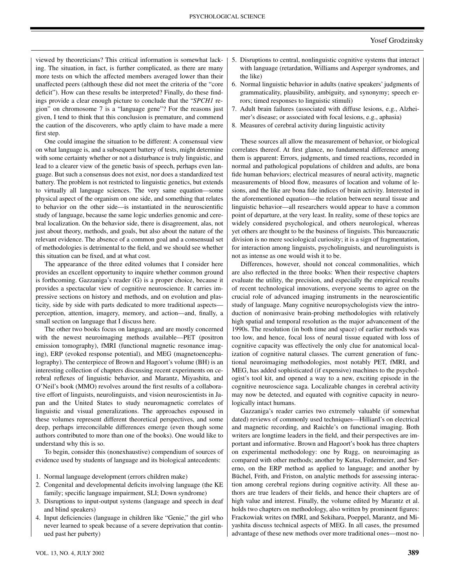#### PSYCHOLOGICAL SCIENCE

### Yosef Grodzinsky

viewed by theoreticians? This critical information is somewhat lacking. The situation, in fact, is further complicated, as there are many more tests on which the affected members averaged lower than their unaffected peers (although these did not meet the criteria of the "core deficit"). How can these results be interpreted? Finally, do these findings provide a clear enough picture to conclude that the "*SPCH1* region" on chromosome 7 is a "language gene"? For the reasons just given, I tend to think that this conclusion is premature, and commend the caution of the discoverers, who aptly claim to have made a mere first step.

One could imagine the situation to be different: A consensual view on what language is, and a subsequent battery of tests, might determine with some certainty whether or not a disturbance is truly linguistic, and lead to a clearer view of the genetic basis of speech, perhaps even language. But such a consensus does not exist, nor does a standardized test battery. The problem is not restricted to linguistic genetics, but extends to virtually all language sciences. The very same equation—some physical aspect of the organism on one side, and something that relates to behavior on the other side—is instantiated in the neuroscientific study of language, because the same logic underlies genomic and cerebral localization. On the behavior side, there is disagreement, alas, not just about theory, methods, and goals, but also about the nature of the relevant evidence. The absence of a common goal and a consensual set of methodologies is detrimental to the field, and we should see whether this situation can be fixed, and at what cost.

The appearance of the three edited volumes that I consider here provides an excellent opportunity to inquire whether common ground is forthcoming. Gazzaniga's reader (G) is a proper choice, because it provides a spectacular view of cognitive neuroscience. It carries impressive sections on history and methods, and on evolution and plasticity, side by side with parts dedicated to more traditional aspects perception, attention, imagery, memory, and action—and, finally, a small section on language that I discuss here.

The other two books focus on language, and are mostly concerned with the newest neuroimaging methods available—PET (positron emission tomography), fMRI (functional magnetic resonance imaging), ERP (evoked response potential), and MEG (magnetoencephalography). The centerpiece of Brown and Hagoort's volume (BH) is an interesting collection of chapters discussing recent experiments on cerebral reflexes of linguistic behavior, and Marantz, Miyashita, and O'Neil's book (MMO) revolves around the first results of a collaborative effort of linguists, neurolinguists, and vision neuroscientists in Japan and the United States to study neuromagnetic correlates of linguistic and visual generalizations. The approaches espoused in these volumes represent different theoretical perspectives, and some deep, perhaps irreconcilable differences emerge (even though some authors contributed to more than one of the books). One would like to understand why this is so.

To begin, consider this (nonexhaustive) compendium of sources of evidence used by students of language and its biological antecedents:

- 1. Normal language development (errors children make)
- 2. Congenital and developmental deficits involving language (the KE family; specific language impairment, SLI; Down syndrome)
- 3. Disruptions to input-output systems (language and speech in deaf and blind speakers)
- 4. Input deficiencies (language in children like "Genie," the girl who never learned to speak because of a severe deprivation that continued past her puberty)
- 6. Normal linguistic behavior in adults (native speakers' judgments of grammaticality, plausibility, ambiguity, and synonymy; speech errors; timed responses to linguistic stimuli)
- 7. Adult brain failures (associated with diffuse lesions, e.g., Alzheimer's disease; or associated with focal lesions, e.g., aphasia)
- 8. Measures of cerebral activity during linguistic activity

These sources all allow the measurement of behavior, or biological correlates thereof. At first glance, no fundamental difference among them is apparent: Errors, judgments, and timed reactions, recorded in normal and pathological populations of children and adults, are bona fide human behaviors; electrical measures of neural activity, magnetic measurements of blood flow, measures of location and volume of lesions, and the like are bona fide indices of brain activity. Interested in the aforementioned equation—the relation between neural tissue and linguistic behavior—all researchers would appear to have a common point of departure, at the very least. In reality, some of these topics are widely considered psychological, and others neurological, whereas yet others are thought to be the business of linguists. This bureaucratic division is no mere sociological curiosity; it is a sign of fragmentation, for interaction among linguists, psycholinguists, and neurolinguists is not as intense as one would wish it to be.

Differences, however, should not conceal commonalities, which are also reflected in the three books: When their respective chapters evaluate the utility, the precision, and especially the empirical results of recent technological innovations, everyone seems to agree on the crucial role of advanced imaging instruments in the neuroscientific study of language. Many cognitive neuropsychologists view the introduction of noninvasive brain-probing methodologies with relatively high spatial and temporal resolution as the major advancement of the 1990s. The resolution (in both time and space) of earlier methods was too low, and hence, focal loss of neural tissue equated with loss of cognitive capacity was effectively the only clue for anatomical localization of cognitive natural classes. The current generation of functional neuroimaging methodologies, most notably PET, fMRI, and MEG, has added sophisticated (if expensive) machines to the psychologist's tool kit, and opened a way to a new, exciting episode in the cognitive neuroscience saga. Localizable changes in cerebral activity may now be detected, and equated with cognitive capacity in neurologically intact humans.

Gazzaniga's reader carries two extremely valuable (if somewhat dated) reviews of commonly used techniques—Hilliard's on electrical and magnetic recording, and Raichle's on functional imaging. Both writers are longtime leaders in the field, and their perspectives are important and informative. Brown and Hagoort's book has three chapters on experimental methodology: one by Rugg, on neuroimaging as compared with other methods; another by Kutas, Federmeier, and Sererno, on the ERP method as applied to language; and another by Büchel, Frith, and Friston, on analytic methods for assessing interaction among cerebral regions during cognitive activity. All these authors are true leaders of their fields, and hence their chapters are of high value and interest. Finally, the volume edited by Marantz et al. holds two chapters on methodology, also written by prominent figures: Frackowiak writes on fMRI, and Sekihara, Poeppel, Marantz, and Miyashita discuss technical aspects of MEG. In all cases, the presumed advantage of these new methods over more traditional ones—most no-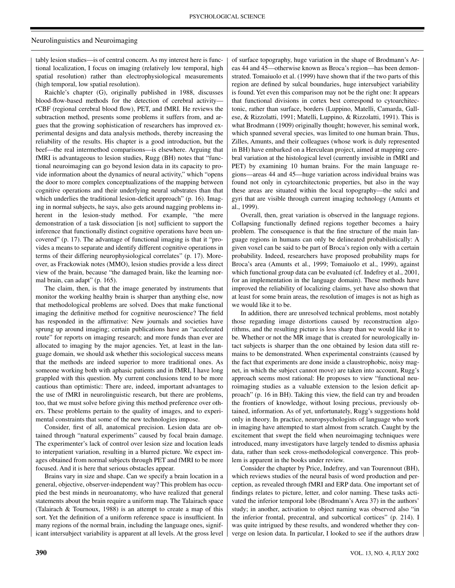#### Neurolinguistics and Neuroimaging

tably lesion studies—is of central concern. As my interest here is functional localization, I focus on imaging (relatively low temporal, high spatial resolution) rather than electrophysiological measurements (high temporal, low spatial resolution).

Raichle's chapter (G), originally published in 1988, discusses blood-flow-based methods for the detection of cerebral activity rCBF (regional cerebral blood flow), PET, and fMRI. He reviews the subtraction method, presents some problems it suffers from, and argues that the growing sophistication of researchers has improved experimental designs and data analysis methods, thereby increasing the reliability of the results. His chapter is a good introduction, but the beef—the real intermethod comparisons—is elsewhere. Arguing that fMRI is advantageous to lesion studies, Rugg (BH) notes that "functional neuroimaging can go beyond lesion data in its capacity to provide information about the dynamics of neural activity," which "opens the door to more complex conceptualizations of the mapping between cognitive operations and their underlying neural substrates than that which underlies the traditional lesion-deficit approach" (p. 16). Imaging in normal subjects, he says, also gets around nagging problems inherent in the lesion-study method. For example, "the mere demonstration of a task dissociation [is not] sufficient to support the inference that functionally distinct cognitive operations have been uncovered" (p. 17). The advantage of functional imaging is that it "provides a means to separate and identify different cognitive operations in terms of their differing neurophysiological correlates" (p. 17). Moreover, as Frackowiak notes (MMO), lesion studies provide a less direct view of the brain, because "the damaged brain, like the learning normal brain, can adapt" (p. 165).

The claim, then, is that the image generated by instruments that monitor the working healthy brain is sharper than anything else, now that methodological problems are solved. Does that make functional imaging the definitive method for cognitive neuroscience? The field has responded in the affirmative: New journals and societies have sprung up around imaging; certain publications have an "accelerated route" for reports on imaging research; and more funds than ever are allocated to imaging by the major agencies. Yet, at least in the language domain, we should ask whether this sociological success means that the methods are indeed superior to more traditional ones. As someone working both with aphasic patients and in fMRI, I have long grappled with this question. My current conclusions tend to be more cautious than optimistic: There are, indeed, important advantages to the use of fMRI in neurolinguistic research, but there are problems, too, that we must solve before giving this method preference over others. These problems pertain to the quality of images, and to experimental constraints that some of the new technologies impose.

Consider, first of all, anatomical precision. Lesion data are obtained through "natural experiments" caused by focal brain damage. The experimenter's lack of control over lesion size and location leads to interpatient variation, resulting in a blurred picture. We expect images obtained from normal subjects through PET and fMRI to be more focused. And it is here that serious obstacles appear.

Brains vary in size and shape. Can we specify a brain location in a general, objective, observer-independent way? This problem has occupied the best minds in neuroanatomy, who have realized that general statements about the brain require a uniform map. The Talairach space (Talairach & Tournoux, 1988) is an attempt to create a map of this sort. Yet the definition of a uniform reference space is insufficient. In many regions of the normal brain, including the language ones, significant intersubject variability is apparent at all levels. At the gross level of surface topography, huge variation in the shape of Brodmann's Areas 44 and 45—otherwise known as Broca's region—has been demonstrated. Tomaiuolo et al. (1999) have shown that if the two parts of this region are defined by sulcal boundaries, huge intersubject variability is found. Yet even this comparison may not be the right one: It appears that functional divisions in cortex best correspond to cytoarchitectonic, rather than surface, borders (Luppino, Matelli, Camarda, Gallese, & Rizzolatti, 1991; Matelli, Luppino, & Rizzolatti, 1991). This is what Brodmann (1909) originally thought; however, his seminal work, which spanned several species, was limited to one human brain. Thus, Zilles, Amunts, and their colleagues (whose work is duly represented in BH) have embarked on a Herculean project, aimed at mapping cerebral variation at the histological level (currently invisible in fMRI and PET) by examining 10 human brains. For the main language regions—areas 44 and 45—huge variation across individual brains was found not only in cytoarchitectonic properties, but also in the way these areas are situated within the local topography—the sulci and gyri that are visible through current imaging technology (Amunts et al., 1999).

Overall, then, great variation is observed in the language regions. Collapsing functionally defined regions together becomes a hairy problem. The consequence is that the fine structure of the main language regions in humans can only be delineated probabilistically: A given voxel can be said to be part of Broca's region only with a certain probability. Indeed, researchers have proposed probability maps for Broca's area (Amunts et al., 1999; Tomaiuolo et al., 1999), against which functional group data can be evaluated (cf. Indefrey et al., 2001, for an implementation in the language domain). These methods have improved the reliability of localizing claims, yet have also shown that at least for some brain areas, the resolution of images is not as high as we would like it to be.

In addition, there are unresolved technical problems, most notably those regarding image distortions caused by reconstruction algorithms, and the resulting picture is less sharp than we would like it to be. Whether or not the MR image that is created for neurologically intact subjects is sharper than the one obtained by lesion data still remains to be demonstrated. When experimental constraints (caused by the fact that experiments are done inside a claustrophobic, noisy magnet, in which the subject cannot move) are taken into account, Rugg's approach seems most rational: He proposes to view "functional neuroimaging studies as a valuable extension to the lesion deficit approach" (p. 16 in BH). Taking this view, the field can try and broaden the frontiers of knowledge, without losing precious, previously obtained, information. As of yet, unfortunately, Rugg's suggestions hold only in theory. In practice, neuropsychologists of language who work in imaging have attempted to start almost from scratch. Caught by the excitement that swept the field when neuroimaging techniques were introduced, many investigators have largely tended to dismiss aphasia data, rather than seek cross-methodological convergence. This problem is apparent in the books under review.

Consider the chapter by Price, Indefrey, and van Tourennout (BH), which reviews studies of the neural basis of word production and perception, as revealed through fMRI and ERP data. One important set of findings relates to picture, letter, and color naming. These tasks activated the inferior temporal lobe (Brodmann's Area 37) in the authors' study; in another, activation to object naming was observed also "in the inferior frontal, precentral, and subcortical cortices" (p. 214). I was quite intrigued by these results, and wondered whether they converge on lesion data. In particular, I looked to see if the authors draw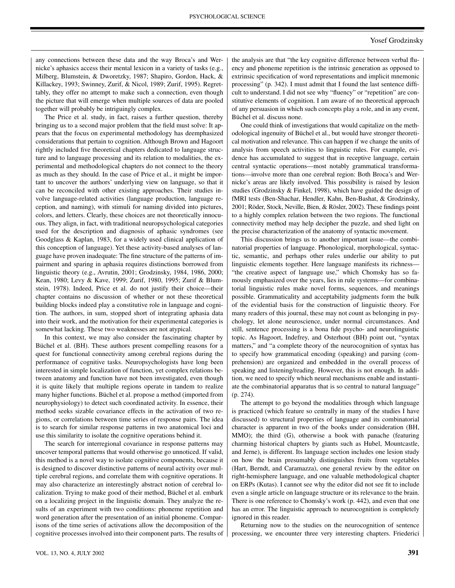### Yosef Grodzinsky

any connections between these data and the way Broca's and Wernicke's aphasics access their mental lexicon in a variety of tasks (e.g., Milberg, Blumstein, & Dworetzky, 1987; Shapiro, Gordon, Hack, & Killackey, 1993; Swinney, Zurif, & Nicol, 1989; Zurif, 1995). Regrettably, they offer no attempt to make such a connection, even though the picture that will emerge when multiple sources of data are pooled together will probably be intriguingly complex.

The Price et al. study, in fact, raises a further question, thereby bringing us to a second major problem that the field must solve: It appears that the focus on experimental methodology has deemphasized considerations that pertain to cognition. Although Brown and Hagoort rightly included five theoretical chapters dedicated to language structure and to language processing and its relation to modalities, the experimental and methodological chapters do not connect to the theory as much as they should. In the case of Price et al., it might be important to uncover the authors' underlying view on language, so that it can be reconciled with other existing approaches. Their studies involve language-related activities (language production, language reception, and naming), with stimuli for naming divided into pictures, colors, and letters. Clearly, these choices are not theoretically innocuous. They align, in fact, with traditional neuropsychological categories used for the description and diagnosis of aphasic syndromes (see Goodglass & Kaplan, 1983, for a widely used clinical application of this conception of language). Yet these activity-based analyses of language have proven inadequate: The fine structure of the patterns of impairment and sparing in aphasia requires distinctions borrowed from linguistic theory (e.g., Avrutin, 2001; Grodzinsky, 1984, 1986, 2000; Kean, 1980; Levy & Kave, 1999; Zurif, 1980, 1995; Zurif & Blumstein, 1978). Indeed, Price et al. do not justify their choice—their chapter contains no discussion of whether or not these theoretical building blocks indeed play a constitutive role in language and cognition. The authors, in sum, stopped short of integrating aphasia data into their work, and the motivation for their experimental categories is somewhat lacking. These two weaknesses are not atypical.

In this context, we may also consider the fascinating chapter by Büchel et al. (BH). These authors present compelling reasons for a quest for functional connectivity among cerebral regions during the performance of cognitive tasks. Neuropsychologists have long been interested in simple localization of function, yet complex relations between anatomy and function have not been investigated, even though it is quite likely that multiple regions operate in tandem to realize many higher functions. Büchel et al. propose a method (imported from neurophysiology) to detect such coordinated activity. In essence, their method seeks sizable covariance effects in the activation of two regions, or correlations between time series of response pairs. The idea is to search for similar response patterns in two anatomical loci and use this similarity to isolate the cognitive operations behind it.

The search for interregional covariance in response patterns may uncover temporal patterns that would otherwise go unnoticed. If valid, this method is a novel way to isolate cognitive components, because it is designed to discover distinctive patterns of neural activity over multiple cerebral regions, and correlate them with cognitive operations. It may also characterize an interestingly abstract notion of cerebral localization. Trying to make good of their method, Büchel et al. embark on a localizing project in the linguistic domain. They analyze the results of an experiment with two conditions: phoneme repetition and word generation after the presentation of an initial phoneme. Comparisons of the time series of activations allow the decomposition of the cognitive processes involved into their component parts. The results of the analysis are that "the key cognitive difference between verbal fluency and phoneme repetition is the intrinsic generation as opposed to extrinsic specification of word representations and implicit mnemonic processing" (p. 342). I must admit that I found the last sentence difficult to understand. I did not see why "fluency" or "repetition" are constitutive elements of cognition. I am aware of no theoretical approach of any persuasion in which such concepts play a role, and in any event, Büchel et al. discuss none.

One could think of investigations that would capitalize on the methodological ingenuity of Büchel et al., but would have stronger theoretical motivation and relevance. This can happen if we change the units of analysis from speech activities to linguistic rules. For example, evidence has accumulated to suggest that in receptive language, certain central syntactic operations—most notably grammatical transformations—involve more than one cerebral region: Both Broca's and Wernicke's areas are likely involved. This possibility is raised by lesion studies (Grodzinsky & Finkel, 1998), which have guided the design of fMRI tests (Ben-Shachar, Hendler, Kahn, Ben-Bashat, & Grodzinsky, 2001; Röder, Stock, Neville, Bien, & Rösler, 2002). These findings point to a highly complex relation between the two regions. The functional connectivity method may help decipher the puzzle, and shed light on the precise characterization of the anatomy of syntactic movement.

This discussion brings us to another important issue—the combinatorial properties of language. Phonological, morphological, syntactic, semantic, and perhaps other rules underlie our ability to put linguistic elements together. Here language manifests its richness— "the creative aspect of language use," which Chomsky has so famously emphasized over the years, lies in rule systems—for combinatorial linguistic rules make novel forms, sequences, and meanings possible. Grammaticality and acceptability judgments form the bulk of the evidential basis for the construction of linguistic theory. For many readers of this journal, these may not count as belonging in psychology, let alone neuroscience, under normal circumstances. And still, sentence processing is a bona fide psycho- and neurolinguistic topic. As Hagoort, Indefrey, and Osterhout (BH) point out, "syntax matters," and "a complete theory of the neurocognition of syntax has to specify how grammatical encoding (speaking) and parsing (comprehension) are organized and embedded in the overall process of speaking and listening/reading. However, this is not enough. In addition, we need to specify which neural mechanisms enable and instantiate the combinatorial apparatus that is so central to natural language" (p. 274).

The attempt to go beyond the modalities through which language is practiced (which feature so centrally in many of the studies I have discussed) to structural properties of language and its combinatorial character is apparent in two of the books under consideration (BH, MMO); the third (G), otherwise a book with panache (featuring charming historical chapters by giants such as Hubel, Mountcastle, and Jerne), is different. Its language section includes one lesion study on how the brain presumably distinguishes fruits from vegetables (Hart, Berndt, and Caramazza), one general review by the editor on right-hemisphere language, and one valuable methodological chapter on ERPs (Kutas). I cannot see why the editor did not see fit to include even a single article on language structure or its relevance to the brain. There is one reference to Chomsky's work (p. 442), and even that one has an error. The linguistic approach to neurocognition is completely ignored in this reader.

Returning now to the studies on the neurocognition of sentence processing, we encounter three very interesting chapters. Friederici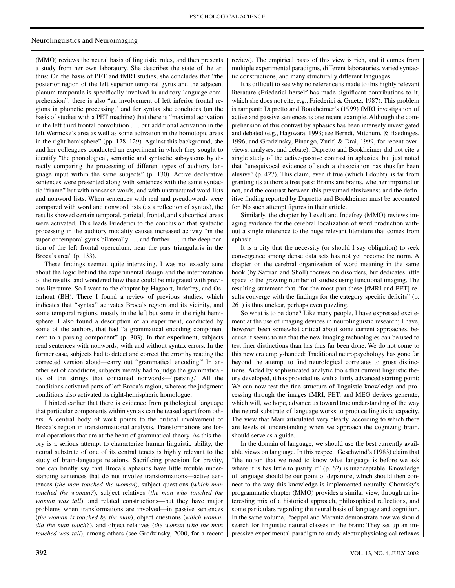#### Neurolinguistics and Neuroimaging

(MMO) reviews the neural basis of linguistic rules, and then presents a study from her own laboratory. She describes the state of the art thus: On the basis of PET and fMRI studies, she concludes that "the posterior region of the left superior temporal gyrus and the adjacent planum temporale is specifically involved in auditory language comprehension"; there is also "an involvement of left inferior frontal regions in phonetic processing," and for syntax she concludes (on the basis of studies with a PET machine) that there is "maximal activation in the left third frontal convolution . . . but additional activation in the left Wernicke's area as well as some activation in the homotopic areas in the right hemisphere" (pp. 128–129). Against this background, she and her colleagues conducted an experiment in which they sought to identify "the phonological, semantic and syntactic subsystems by directly comparing the processing of different types of auditory language input within the same subjects" (p. 130). Active declarative sentences were presented along with sentences with the same syntactic "frame" but with nonsense words, and with unstructured word lists and nonword lists. When sentences with real and pseudowords were compared with word and nonword lists (as a reflection of syntax), the results showed certain temporal, parietal, frontal, and subcortical areas were activated. This leads Friederici to the conclusion that syntactic processing in the auditory modality causes increased activity "in the superior temporal gyrus bilaterally . . . and further . . . in the deep portion of the left frontal operculum, near the pars triangularis in the Broca's area" (p. 133).

These findings seemed quite interesting. I was not exactly sure about the logic behind the experimental design and the interpretation of the results, and wondered how these could be integrated with previous literature. So I went to the chapter by Hagoort, Indefrey, and Osterhout (BH). There I found a review of previous studies, which indicates that "syntax" activates Broca's region and its vicinity, and some temporal regions, mostly in the left but some in the right hemisphere. I also found a description of an experiment, conducted by some of the authors, that had "a grammatical encoding component next to a parsing component" (p. 303). In that experiment, subjects read sentences with nonwords, with and without syntax errors. In the former case, subjects had to detect and correct the error by reading the corrected version aloud—carry out "grammatical encoding." In another set of conditions, subjects merely had to judge the grammaticality of the strings that contained nonwords—"parsing." All the conditions activated parts of left Broca's region, whereas the judgment conditions also activated its right-hemispheric homologue.

I hinted earlier that there is evidence from pathological language that particular components within syntax can be teased apart from others. A central body of work points to the critical involvement of Broca's region in transformational analysis. Transformations are formal operations that are at the heart of grammatical theory. As this theory is a serious attempt to characterize human linguistic ability, the neural substrate of one of its central tenets is highly relevant to the study of brain-language relations. Sacrificing precision for brevity, one can briefly say that Broca's aphasics have little trouble understanding sentences that do not involve transformations—active sentences (*the man touched the woman*), subject questions (*which man touched the woman?*), subject relatives (*the man who touched the woman was tall*), and related constructions—but they have major problems when transformations are involved—in passive sentences (*the woman is touched by the man*), object questions (*which woman did the man touch?*), and object relatives (*the woman who the man touched was tall*), among others (see Grodzinsky, 2000, for a recent review). The empirical basis of this view is rich, and it comes from multiple experimental paradigms, different laboratories, varied syntactic constructions, and many structurally different languages.

It is difficult to see why no reference is made to this highly relevant literature (Friederici herself has made significant contributions to it, which she does not cite, e.g., Friederici & Graetz, 1987). This problem is rampant: Dapretto and Bookheimer's (1999) fMRI investigation of active and passive sentences is one recent example. Although the comprehension of this contrast by aphasics has been intensely investigated and debated (e.g., Hagiwara, 1993; see Berndt, Mitchum, & Haedinges, 1996, and Grodzinsky, Pinango, Zurif, & Drai, 1999, for recent overviews, analyses, and debate), Dapretto and Bookheimer did not cite a single study of the active-passive contrast in aphasics, but just noted that "unequivocal evidence of such a dissociation has thusfar been elusive" (p. 427). This claim, even if true (which I doubt), is far from granting its authors a free pass: Brains are brains, whether impaired or not, and the contrast between this presumed elusiveness and the definitive finding reported by Dapretto and Bookheimer must be accounted for. No such attempt figures in their article.

Similarly, the chapter by Levelt and Indefrey (MMO) reviews imaging evidence for the cerebral localization of word production without a single reference to the huge relevant literature that comes from aphasia.

It is a pity that the necessity (or should I say obligation) to seek convergence among dense data sets has not yet become the norm. A chapter on the cerebral organization of word meaning in the same book (by Saffran and Sholl) focuses on disorders, but dedicates little space to the growing number of studies using functional imaging. The resulting statement that "for the most part these [fMRI and PET] results converge with the findings for the category specific deficits" (p. 261) is thus unclear, perhaps even puzzling.

So what is to be done? Like many people, I have expressed excitement at the use of imaging devices in neurolinguistic research; I have, however, been somewhat critical about some current approaches, because it seems to me that the new imaging technologies can be used to test finer distinctions than has thus far been done. We do not come to this new era empty-handed: Traditional neuropsychology has gone far beyond the attempt to find neurological correlates to gross distinctions. Aided by sophisticated analytic tools that current linguistic theory developed, it has provided us with a fairly advanced starting point: We can now test the fine structure of linguistic knowledge and processing through the images fMRI, PET, and MEG devices generate, which will, we hope, advance us toward true understanding of the way the neural substrate of language works to produce linguistic capacity. The view that Marr articulated very clearly, according to which there are levels of understanding when we approach the cognizing brain, should serve as a guide.

In the domain of language, we should use the best currently available views on language. In this respect, Geschwind's (1983) claim that "the notion that we need to know what language is before we ask where it is has little to justify it" (p. 62) is unacceptable. Knowledge of language should be our point of departure, which should then connect to the way this knowledge is implemented neurally. Chomsky's programmatic chapter (MMO) provides a similar view, through an interesting mix of a historical approach, philosophical reflections, and some particulars regarding the neural basis of language and cognition. In the same volume, Poeppel and Marantz demonstrate how we should search for linguistic natural classes in the brain: They set up an impressive experimental paradigm to study electrophysiological reflexes